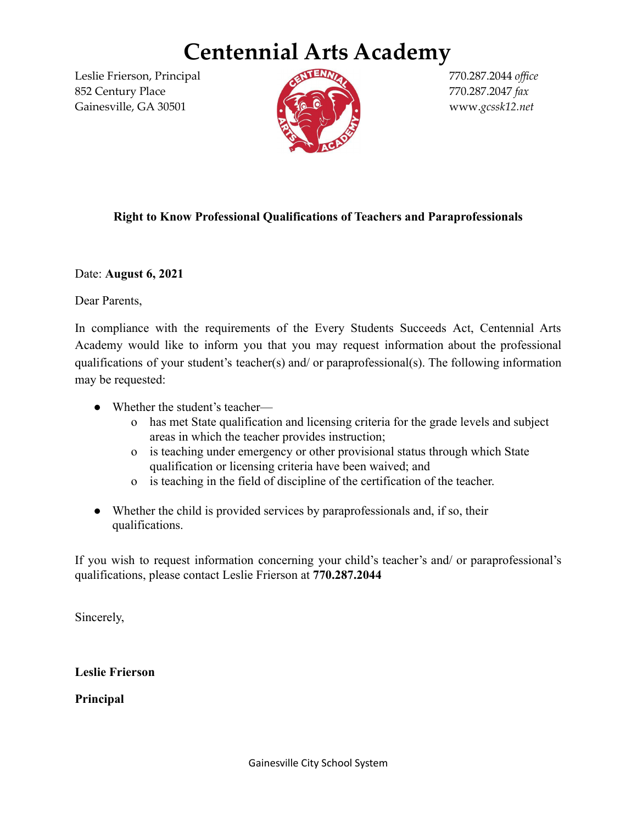## **Centennial Arts Academy**

Leslie Frierson, Principal 770.287.2044 *office* 852 Century Place 770.287.2047 *fax* Gainesville, GA 30501 **1999 Cannesville, GA 30501 Cannesville, GA 30501 Cannesville, GA 30501** 



## **Right to Know Professional Qualifications of Teachers and Paraprofessionals**

Date: **August 6, 2021**

Dear Parents,

In compliance with the requirements of the Every Students Succeeds Act, Centennial Arts Academy would like to inform you that you may request information about the professional qualifications of your student's teacher(s) and/ or paraprofessional(s). The following information may be requested:

- Whether the student's teacher
	- o has met State qualification and licensing criteria for the grade levels and subject areas in which the teacher provides instruction;
	- o is teaching under emergency or other provisional status through which State qualification or licensing criteria have been waived; and
	- o is teaching in the field of discipline of the certification of the teacher.
- Whether the child is provided services by paraprofessionals and, if so, their qualifications.

If you wish to request information concerning your child's teacher's and/ or paraprofessional's qualifications, please contact Leslie Frierson at **770.287.2044**

Sincerely,

**Leslie Frierson**

**Principal**